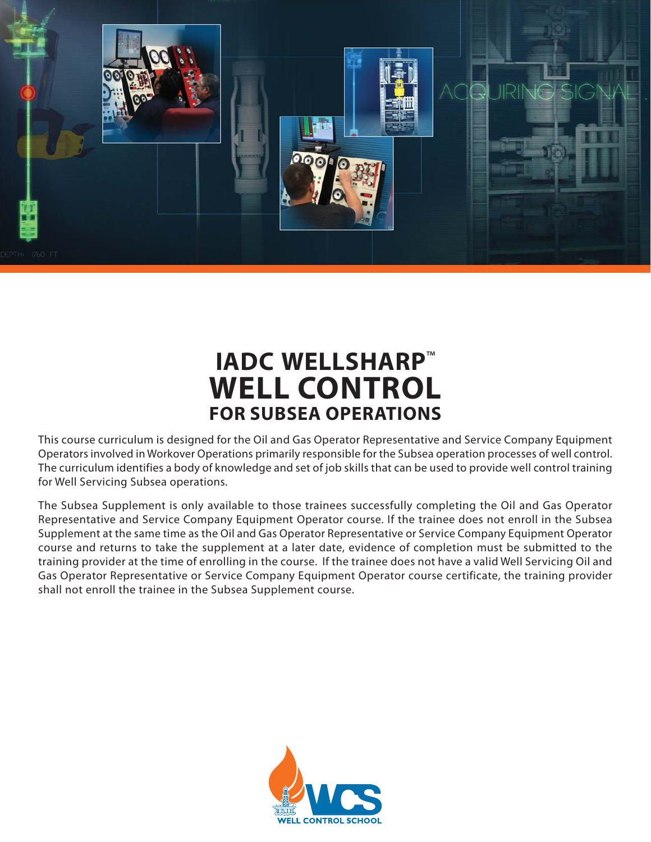

## **IADC WELLSHARP**™ **WELL CONTROL FOR SUBSEA OPERATIONS**

This course curriculum is designed for the Oil and Gas Operator Representative and Service Company Equipment Operators involved in Workover Operations primarily responsible for the Subsea operation processes of well control. The curriculum identifies a body of knowledge and set of job skills that can be used to provide well control training for Well Servicing Subsea operations.

The Subsea Supplement is only available to those trainees successfully completing the Oil and Gas Operator Representative and Service Company Equipment Operator course. If the trainee does not enroll in the Subsea Supplement at the same time as the Oil and Gas Operator Representative or Service Company Equipment Operator course and returns to take the supplement at a later date, evidence of completion must be submitted to the training provider at the time of enrolling in the course. If the trainee does not have a valid Well Servicing Oil and Gas Operator Representative or Service Company Equipment Operator course certificate, the training provider shall not enroll the trainee in the Subsea Supplement course.